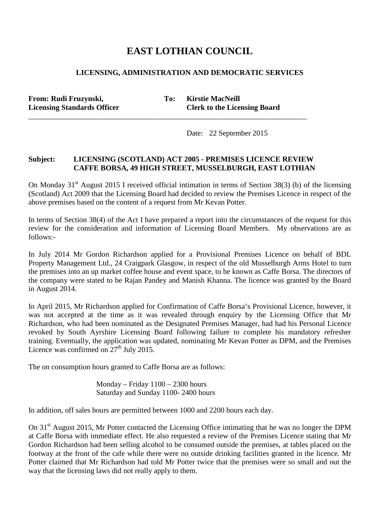## **EAST LOTHIAN COUNCIL**

## **LICENSING, ADMINISTRATION AND DEMOCRATIC SERVICES**

**From:** Rudi Fruzynski, To: Kirstie MacNeill

**Licensing Standards Officer Clerk to the Licensing Board**

Date: 22 September 2015

## **Subject: LICENSING (SCOTLAND) ACT 2005 - PREMISES LICENCE REVIEW CAFFE BORSA, 49 HIGH STREET, MUSSELBURGH, EAST LOTHIAN**

\_\_\_\_\_\_\_\_\_\_\_\_\_\_\_\_\_\_\_\_\_\_\_\_\_\_\_\_\_\_\_\_\_\_\_\_\_\_\_\_\_\_\_\_\_\_\_\_\_\_\_\_\_\_\_\_\_\_\_\_\_\_\_\_\_\_\_\_\_\_\_\_\_\_

On Monday  $31<sup>st</sup>$  August 2015 I received official intimation in terms of Section 38(3) (b) of the licensing (Scotland) Act 2009 that the Licensing Board had decided to review the Premises Licence in respect of the above premises based on the content of a request from Mr Kevan Potter.

In terms of Section 38(4) of the Act I have prepared a report into the circumstances of the request for this review for the consideration and information of Licensing Board Members. My observations are as follows:-

In July 2014 Mr Gordon Richardson applied for a Provisional Premises Licence on behalf of BDL Property Management Ltd., 24 Craigpark Glasgow, in respect of the old Musselburgh Arms Hotel to turn the premises into an up market coffee house and event space, to be known as Caffe Borsa. The directors of the company were stated to be Rajan Pandey and Manish Khanna. The licence was granted by the Board in August 2014.

In April 2015, Mr Richardson applied for Confirmation of Caffe Borsa's Provisional Licence, however, it was not accepted at the time as it was revealed through enquiry by the Licensing Office that Mr Richardson, who had been nominated as the Designated Premises Manager, had had his Personal Licence revoked by South Ayrshire Licensing Board following failure to complete his mandatory refresher training. Eventually, the application was updated, nominating Mr Kevan Potter as DPM, and the Premises Licence was confirmed on  $27<sup>th</sup>$  July 2015.

The on consumption hours granted to Caffe Borsa are as follows:

Monday – Friday 1100 – 2300 hours Saturday and Sunday 1100- 2400 hours

In addition, off sales hours are permitted between 1000 and 2200 hours each day.

On 31<sup>st</sup> August 2015, Mr Potter contacted the Licensing Office intimating that he was no longer the DPM at Caffe Borsa with immediate effect. He also requested a review of the Premises Licence stating that Mr Gordon Richardson had been selling alcohol to be consumed outside the premises, at tables placed on the footway at the front of the cafe while there were no outside drinking facilities granted in the licence. Mr Potter claimed that Mr Richardson had told Mr Potter twice that the premises were so small and out the way that the licensing laws did not really apply to them.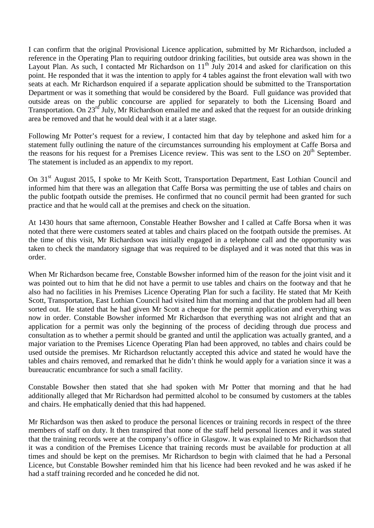I can confirm that the original Provisional Licence application, submitted by Mr Richardson, included a reference in the Operating Plan to requiring outdoor drinking facilities, but outside area was shown in the Layout Plan. As such, I contacted Mr Richardson on  $11<sup>th</sup>$  July 2014 and asked for clarification on this point. He responded that it was the intention to apply for 4 tables against the front elevation wall with two seats at each. Mr Richardson enquired if a separate application should be submitted to the Transportation Department or was it something that would be considered by the Board. Full guidance was provided that outside areas on the public concourse are applied for separately to both the Licensing Board and Transportation. On 23<sup>rd</sup> July, Mr Richardson emailed me and asked that the request for an outside drinking area be removed and that he would deal with it at a later stage.

Following Mr Potter's request for a review, I contacted him that day by telephone and asked him for a statement fully outlining the nature of the circumstances surrounding his employment at Caffe Borsa and the reasons for his request for a Premises Licence review. This was sent to the LSO on 20<sup>th</sup> September. The statement is included as an appendix to my report.

On 31<sup>st</sup> August 2015, I spoke to Mr Keith Scott, Transportation Department, East Lothian Council and informed him that there was an allegation that Caffe Borsa was permitting the use of tables and chairs on the public footpath outside the premises. He confirmed that no council permit had been granted for such practice and that he would call at the premises and check on the situation.

At 1430 hours that same afternoon, Constable Heather Bowsher and I called at Caffe Borsa when it was noted that there were customers seated at tables and chairs placed on the footpath outside the premises. At the time of this visit, Mr Richardson was initially engaged in a telephone call and the opportunity was taken to check the mandatory signage that was required to be displayed and it was noted that this was in order.

When Mr Richardson became free, Constable Bowsher informed him of the reason for the joint visit and it was pointed out to him that he did not have a permit to use tables and chairs on the footway and that he also had no facilities in his Premises Licence Operating Plan for such a facility. He stated that Mr Keith Scott, Transportation, East Lothian Council had visited him that morning and that the problem had all been sorted out. He stated that he had given Mr Scott a cheque for the permit application and everything was now in order. Constable Bowsher informed Mr Richardson that everything was not alright and that an application for a permit was only the beginning of the process of deciding through due process and consultation as to whether a permit should be granted and until the application was actually granted, and a major variation to the Premises Licence Operating Plan had been approved, no tables and chairs could be used outside the premises. Mr Richardson reluctantly accepted this advice and stated he would have the tables and chairs removed, and remarked that he didn't think he would apply for a variation since it was a bureaucratic encumbrance for such a small facility.

Constable Bowsher then stated that she had spoken with Mr Potter that morning and that he had additionally alleged that Mr Richardson had permitted alcohol to be consumed by customers at the tables and chairs. He emphatically denied that this had happened.

Mr Richardson was then asked to produce the personal licences or training records in respect of the three members of staff on duty. It then transpired that none of the staff held personal licences and it was stated that the training records were at the company's office in Glasgow. It was explained to Mr Richardson that it was a condition of the Premises Licence that training records must be available for production at all times and should be kept on the premises. Mr Richardson to begin with claimed that he had a Personal Licence, but Constable Bowsher reminded him that his licence had been revoked and he was asked if he had a staff training recorded and he conceded he did not.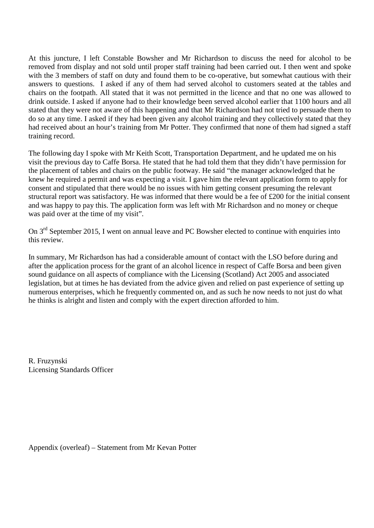At this juncture, I left Constable Bowsher and Mr Richardson to discuss the need for alcohol to be removed from display and not sold until proper staff training had been carried out. I then went and spoke with the 3 members of staff on duty and found them to be co-operative, but somewhat cautious with their answers to questions. I asked if any of them had served alcohol to customers seated at the tables and chairs on the footpath. All stated that it was not permitted in the licence and that no one was allowed to drink outside. I asked if anyone had to their knowledge been served alcohol earlier that 1100 hours and all stated that they were not aware of this happening and that Mr Richardson had not tried to persuade them to do so at any time. I asked if they had been given any alcohol training and they collectively stated that they had received about an hour's training from Mr Potter. They confirmed that none of them had signed a staff training record.

The following day I spoke with Mr Keith Scott, Transportation Department, and he updated me on his visit the previous day to Caffe Borsa. He stated that he had told them that they didn't have permission for the placement of tables and chairs on the public footway. He said "the manager acknowledged that he knew he required a permit and was expecting a visit. I gave him the relevant application form to apply for consent and stipulated that there would be no issues with him getting consent presuming the relevant structural report was satisfactory. He was informed that there would be a fee of £200 for the initial consent and was happy to pay this. The application form was left with Mr Richardson and no money or cheque was paid over at the time of my visit".

On 3<sup>rd</sup> September 2015, I went on annual leave and PC Bowsher elected to continue with enquiries into this review.

In summary, Mr Richardson has had a considerable amount of contact with the LSO before during and after the application process for the grant of an alcohol licence in respect of Caffe Borsa and been given sound guidance on all aspects of compliance with the Licensing (Scotland) Act 2005 and associated legislation, but at times he has deviated from the advice given and relied on past experience of setting up numerous enterprises, which he frequently commented on, and as such he now needs to not just do what he thinks is alright and listen and comply with the expert direction afforded to him.

R. Fruzynski Licensing Standards Officer

Appendix (overleaf) – Statement from Mr Kevan Potter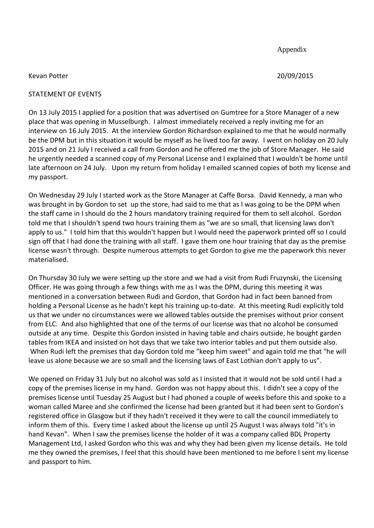Appendix

Kevan Potter 20/09/2015

## STATEMENT OF EVENTS

On 13 July 2015 I applied for a position that was advertised on Gumtree for a Store Manager of a new place that was opening in Musselburgh. I almost immediately received a reply inviting me for an interview on 16 July 2015. At the interview Gordon Richardson explained to me that he would normally be the DPM but in this situation it would be myself as he lived too far away. I went on holiday on 20 July 2015 and on 21 July I received a call from Gordon and he offered me the job of Store Manager. He said he urgently needed a scanned copy of my Personal License and I explained that I wouldn't be home until late afternoon on 24 July. Upon my return from holiday I emailed scanned copies of both my license and my passport.

On Wednesday 29 July I started work as the Store Manager at Caffe Borsa. David Kennedy, a man who was brought in by Gordon to set up the store, had said to me that as I was going to be the DPM when the staff came in I should do the 2 hours mandatory training required for them to sell alcohol. Gordon told me that I shouldn't spend two hours training them as "we are so small, that licensing laws don't apply to us." I told him that this wouldn't happen but I would need the paperwork printed off so I could sign off that I had done the training with all staff. I gave them one hour training that day as the premise license wasn't through. Despite numerous attempts to get Gordon to give me the paperwork this never materialised.

On Thursday 30 July we were setting up the store and we had a visit from Rudi Fruzynski, the Licensing Officer. He was going through a few things with me as I was the DPM, during this meeting it was mentioned in a conversation between Rudi and Gordon, that Gordon had in fact been banned from holding a Personal License as he hadn't kept his training up-to-date. At this meeting Rudi explicitly told us that we under no circumstances were we allowed tables outside the premises without prior consent from ELC. And also highlighted that one of the terms of our license was that no alcohol be consumed outside at any time. Despite this Gordon insisted in having table and chairs outside, he bought garden tables from IKEA and insisted on hot days that we take two interior tables and put them outside also. When Rudi left the premises that day Gordon told me "keep him sweet" and again told me that "he will leave us alone because we are so small and the licensing laws of East Lothian don't apply to us".

We opened on Friday 31 July but no alcohol was sold as I insisted that it would not be sold until I had a copy of the premises license in my hand. Gordon was not happy about this. I didn't see a copy of the premises license until Tuesday 25 August but I had phoned a couple of weeks before this and spoke to a woman called Maree and she confirmed the license had been granted but it had been sent to Gordon's registered office in Glasgow but if they hadn't received it they were to call the council immediately to inform them of this. Every time I asked about the license up until 25 August I was always told "it's in hand Kevan". When I saw the premises license the holder of it was a company called BDL Property Management Ltd, I asked Gordon who this was and why they had been given my license details. He told me they owned the premises, I feel that this should have been mentioned to me before I sent my license and passport to him.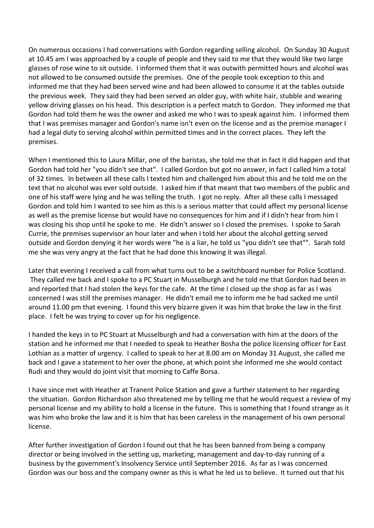On numerous occasions I had conversations with Gordon regarding selling alcohol. On Sunday 30 August at 10.45 am I was approached by a couple of people and they said to me that they would like two large glasses of rose wine to sit outside. I informed them that it was outwith permitted hours and alcohol was not allowed to be consumed outside the premises. One of the people took exception to this and informed me that they had been served wine and had been allowed to consume it at the tables outside the previous week. They said they had been served an older guy, with white hair, stubble and wearing yellow driving glasses on his head. This description is a perfect match to Gordon. They informed me that Gordon had told them he was the owner and asked me who I was to speak against him. I informed them that I was premises manager and Gordon's name isn't even on the license and as the premise manager I had a legal duty to serving alcohol within permitted times and in the correct places. They left the premises.

When I mentioned this to Laura Millar, one of the baristas, she told me that in fact it did happen and that Gordon had told her "you didn't see that". I called Gordon but got no answer, in fact I called him a total of 32 times. In between all these calls I texted him and challenged him about this and he told me on the text that no alcohol was ever sold outside. I asked him if that meant that two members of the public and one of his staff were lying and he was telling the truth. I got no reply. After all these calls I messaged Gordon and told him I wanted to see him as this is a serious matter that could affect my personal license as well as the premise license but would have no consequences for him and if I didn't hear from him I was closing his shop until he spoke to me. He didn't answer so I closed the premises. I spoke to Sarah Currie, the premises supervisor an hour later and when I told her about the alcohol getting served outside and Gordon denying it her words were "he is a liar, he told us "you didn't see that"". Sarah told me she was very angry at the fact that he had done this knowing it was illegal.

Later that evening I received a call from what turns out to be a switchboard number for Police Scotland. They called me back and I spoke to a PC Stuart in Musselburgh and he told me that Gordon had been in and reported that I had stolen the keys for the cafe. At the time I closed up the shop as far as I was concerned I was still the premises manager. He didn't email me to inform me he had sacked me until around 11.00 pm that evening. I found this very bizarre given it was him that broke the law in the first place. I felt he was trying to cover up for his negligence.

I handed the keys in to PC Stuart at Musselburgh and had a conversation with him at the doors of the station and he informed me that I needed to speak to Heather Bosha the police licensing officer for East Lothian as a matter of urgency. I called to speak to her at 8.00 am on Monday 31 August, she called me back and I gave a statement to her over the phone, at which point she informed me she would contact Rudi and they would do joint visit that morning to Caffe Borsa.

I have since met with Heather at Tranent Police Station and gave a further statement to her regarding the situation. Gordon Richardson also threatened me by telling me that he would request a review of my personal license and my ability to hold a license in the future. This is something that I found strange as it was him who broke the law and it is him that has been careless in the management of his own personal license.

After further investigation of Gordon I found out that he has been banned from being a company director or being involved in the setting up, marketing, management and day-to-day running of a business by the government's Insolvency Service until September 2016. As far as I was concerned Gordon was our boss and the company owner as this is what he led us to believe. It turned out that his